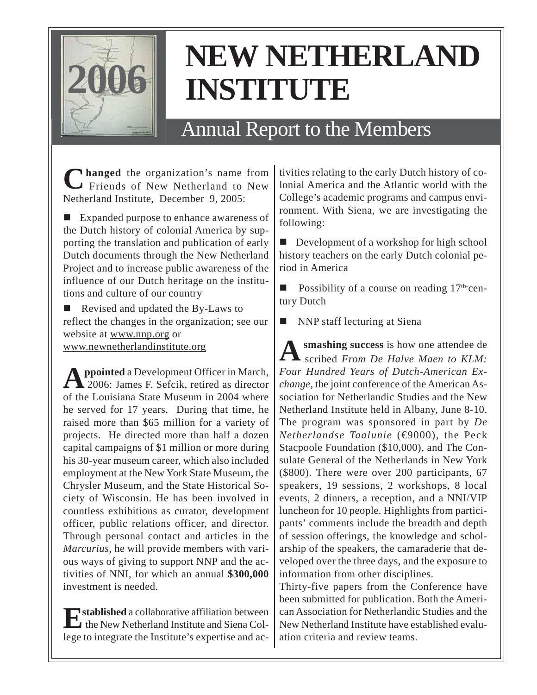

## **NEW NETHERLAND INSTITUTE**

## Annual Report to the Members

**Changed** the organization's name from Friends of New Netherland to New Netherland Institute, December 9, 2005:

■ Expanded purpose to enhance awareness of the Dutch history of colonial America by supporting the translation and publication of early Dutch documents through the New Netherland Project and to increase public awareness of the influence of our Dutch heritage on the institutions and culture of our country

 Revised and updated the By-Laws to reflect the changes in the organization; see our website at www.nnp.org or www.newnetherlandinstitute.org

**Appointed** a Development Officer in March, 2006: James F. Sefcik, retired as director of the Louisiana State Museum in 2004 where he served for 17 years. During that time, he raised more than \$65 million for a variety of projects. He directed more than half a dozen capital campaigns of \$1 million or more during his 30-year museum career, which also included employment at the New York State Museum, the Chrysler Museum, and the State Historical Society of Wisconsin. He has been involved in countless exhibitions as curator, development officer, public relations officer, and director. Through personal contact and articles in the *Marcurius,* he will provide members with various ways of giving to support NNP and the activities of NNI, for which an annual **\$300,000** investment is needed.

**Established** a collaborative affiliation between the New Netherland Institute and Siena College to integrate the Institute's expertise and activities relating to the early Dutch history of colonial America and the Atlantic world with the College's academic programs and campus environment. With Siena, we are investigating the following:

Development of a workshop for high school history teachers on the early Dutch colonial period in America

Possibility of a course on reading  $17<sup>th</sup>$  century Dutch

NNP staff lecturing at Siena

**A smashing success** is how one attendee de scribed *From De Halve Maen to KLM: Four Hundred Years of Dutch-American Exchange*, the joint conference of the American Association for Netherlandic Studies and the New Netherland Institute held in Albany, June 8-10. The program was sponsored in part by *De Netherlandse Taalunie* (€9000), the Peck Stacpoole Foundation (\$10,000), and The Consulate General of the Netherlands in New York (\$800). There were over 200 participants, 67 speakers, 19 sessions, 2 workshops, 8 local events, 2 dinners, a reception, and a NNI/VIP luncheon for 10 people. Highlights from participants' comments include the breadth and depth of session offerings, the knowledge and scholarship of the speakers, the camaraderie that developed over the three days, and the exposure to information from other disciplines.

Thirty-five papers from the Conference have been submitted for publication. Both the American Association for Netherlandic Studies and the New Netherland Institute have established evaluation criteria and review teams.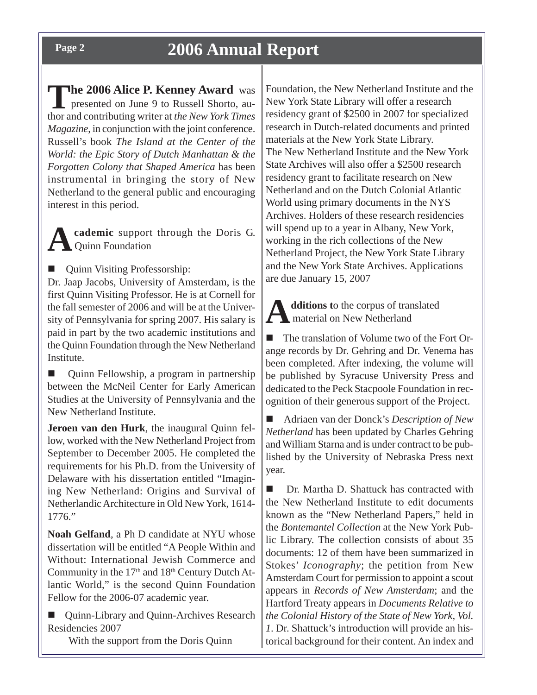**The 2006 Alice P. Kenney Award** was presented on June 9 to Russell Shorto, author and contributing writer at *the New York Times Magazine*, in conjunction with the joint conference. Russell's book *The Island at the Center of the World: the Epic Story of Dutch Manhattan & the Forgotten Colony that Shaped America* has been instrumental in bringing the story of New Netherland to the general public and encouraging interest in this period.

**Academic** support through the Doris G. Quinn Foundation

**Quinn Visiting Professorship:** 

Dr. Jaap Jacobs, University of Amsterdam, is the first Quinn Visiting Professor. He is at Cornell for the fall semester of 2006 and will be at the University of Pennsylvania for spring 2007. His salary is paid in part by the two academic institutions and the Quinn Foundation through the New Netherland Institute.

 Quinn Fellowship, a program in partnership between the McNeil Center for Early American Studies at the University of Pennsylvania and the New Netherland Institute.

**Jeroen van den Hurk**, the inaugural Quinn fellow, worked with the New Netherland Project from September to December 2005. He completed the requirements for his Ph.D. from the University of Delaware with his dissertation entitled "Imagining New Netherland: Origins and Survival of Netherlandic Architecture in Old New York, 1614- 1776."

**Noah Gelfand**, a Ph D candidate at NYU whose dissertation will be entitled "A People Within and Without: International Jewish Commerce and Community in the  $17<sup>th</sup>$  and  $18<sup>th</sup>$  Century Dutch Atlantic World," is the second Quinn Foundation Fellow for the 2006-07 academic year.

 Quinn-Library and Quinn-Archives Research Residencies 2007

With the support from the Doris Quinn

Foundation, the New Netherland Institute and the New York State Library will offer a research residency grant of \$2500 in 2007 for specialized research in Dutch-related documents and printed materials at the New York State Library. The New Netherland Institute and the New York State Archives will also offer a \$2500 research residency grant to facilitate research on New Netherland and on the Dutch Colonial Atlantic World using primary documents in the NYS Archives. Holders of these research residencies will spend up to a year in Albany, New York, working in the rich collections of the New Netherland Project, the New York State Library and the New York State Archives. Applications are due January 15, 2007

**A** dditions to the corpus of translated<br>material on New Netherland material on New Netherland

 The translation of Volume two of the Fort Orange records by Dr. Gehring and Dr. Venema has been completed. After indexing, the volume will be published by Syracuse University Press and dedicated to the Peck Stacpoole Foundation in recognition of their generous support of the Project.

 Adriaen van der Donck's *Description of New Netherland* has been updated by Charles Gehring and William Starna and is under contract to be published by the University of Nebraska Press next year.

■ Dr. Martha D. Shattuck has contracted with the New Netherland Institute to edit documents known as the "New Netherland Papers," held in the *Bontemantel Collection* at the New York Public Library. The collection consists of about 35 documents: 12 of them have been summarized in Stokes' *Iconography*; the petition from New Amsterdam Court for permission to appoint a scout appears in *Records of New Amsterdam*; and the Hartford Treaty appears in *Documents Relative to the Colonial History of the State of New York, Vol. 1*. Dr. Shattuck's introduction will provide an historical background for their content. An index and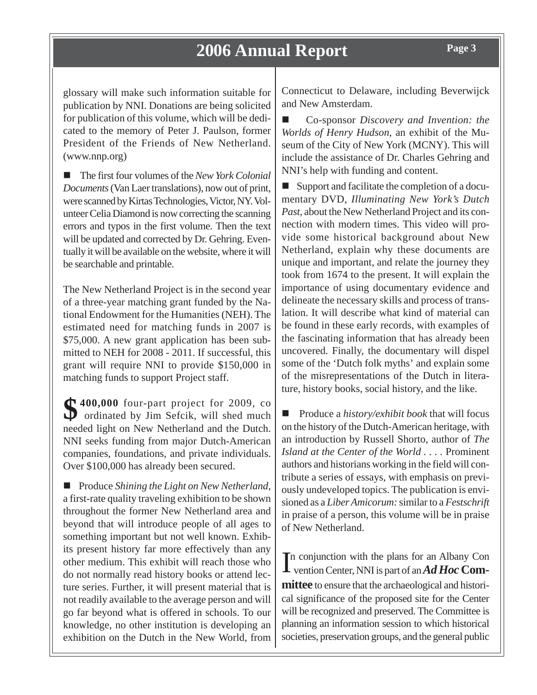glossary will make such information suitable for publication by NNI. Donations are being solicited for publication of this volume, which will be dedicated to the memory of Peter J. Paulson, former President of the Friends of New Netherland. (www.nnp.org)

■ The first four volumes of the *New York Colonial Documents* (Van Laer translations), now out of print, were scanned by Kirtas Technologies, Victor, NY. Volunteer Celia Diamond is now correcting the scanning errors and typos in the first volume. Then the text will be updated and corrected by Dr. Gehring. Eventually it will be available on the website, where it will be searchable and printable.

The New Netherland Project is in the second year of a three-year matching grant funded by the National Endowment for the Humanities (NEH). The estimated need for matching funds in 2007 is \$75,000. A new grant application has been submitted to NEH for 2008 - 2011. If successful, this grant will require NNI to provide \$150,000 in matching funds to support Project staff.

**\$400,000** four-part project for 2009, co ordinated by Jim Sefcik, will shed much needed light on New Netherland and the Dutch. NNI seeks funding from major Dutch-American companies, foundations, and private individuals. Over \$100,000 has already been secured.

■ Produce *Shining the Light on New Netherland*, a first-rate quality traveling exhibition to be shown throughout the former New Netherland area and beyond that will introduce people of all ages to something important but not well known. Exhibits present history far more effectively than any other medium. This exhibit will reach those who do not normally read history books or attend lecture series. Further, it will present material that is not readily available to the average person and will go far beyond what is offered in schools. To our knowledge, no other institution is developing an exhibition on the Dutch in the New World, from Connecticut to Delaware, including Beverwijck and New Amsterdam.

 Co-sponsor *Discovery and Invention: the Worlds of Henry Hudson*, an exhibit of the Museum of the City of New York (MCNY). This will include the assistance of Dr. Charles Gehring and NNI's help with funding and content.

■ Support and facilitate the completion of a documentary DVD, *Illuminating New York's Dutch Past,* about the New Netherland Project and its connection with modern times. This video will provide some historical background about New Netherland, explain why these documents are unique and important, and relate the journey they took from 1674 to the present. It will explain the importance of using documentary evidence and delineate the necessary skills and process of translation. It will describe what kind of material can be found in these early records, with examples of the fascinating information that has already been uncovered. Finally, the documentary will dispel some of the 'Dutch folk myths' and explain some of the misrepresentations of the Dutch in literature, history books, social history, and the like.

■ Produce a *history/exhibit book* that will focus on the history of the Dutch-American heritage, with an introduction by Russell Shorto, author of *The Island at the Center of the World . . . .* Prominent authors and historians working in the field will contribute a series of essays, with emphasis on previously undeveloped topics. The publication is envisioned as a *Liber Amicorum:* similar to a *Festschrift* in praise of a person, this volume will be in praise of New Netherland.

In conjunction with the plans for an Albany Convention Center, NNI is part of an *Ad Hoc* Comn conjunction with the plans for an Albany Con **mittee** to ensure that the archaeological and historical significance of the proposed site for the Center will be recognized and preserved. The Committee is planning an information session to which historical societies, preservation groups, and the general public